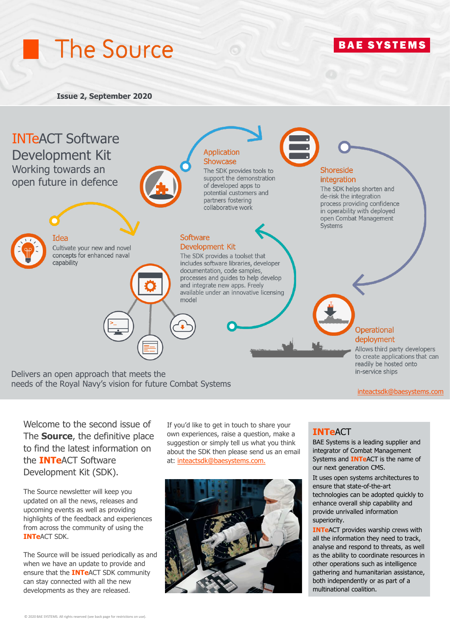# The Source

**Issue 2, September 2020**



Delivers an open approach that meets the needs of the Royal Navy's vision for future Combat Systems

[inteactsdk@baesystems.co](mailto:inteactsdk@baesystems.com)[m](https://www.baesystems.com/en-uk/product/combat-management-systems)

**BAE SYSTEMS** 

Welcome to the second issue of The **Source**, the definitive place to find the latest information on the **INTe**ACT Software Development Kit (SDK).

The Source newsletter will keep you updated on all the news, releases and upcoming events as well as providing highlights of the feedback and experiences from across the community of using the **INTe**ACT SDK.

The Source will be issued periodically as and when we have an update to provide and ensure that the **INTe**ACT SDK community can stay connected with all the new developments as they are released.

If you'd like to get in touch to share your own experiences, raise a question, make a suggestion or simply tell us what you think about the SDK then please send us an email at: [inteactsdk@baesystems.com.](mailto:inteactsdk@baesystems.com)



### **INTe**ACT

BAE Systems is a leading supplier and integrator of Combat Management Systems and **INTe**ACT is the name of our next generation CMS.

It uses open systems architectures to ensure that state-of-the-art technologies can be adopted quickly to enhance overall ship capability and provide unrivalled information superiority.

**INTEACT** provides warship crews with all the information they need to track, analyse and respond to threats, as well as the ability to coordinate resources in other operations such as intelligence gathering and humanitarian assistance, both independently or as part of a multinational coalition.